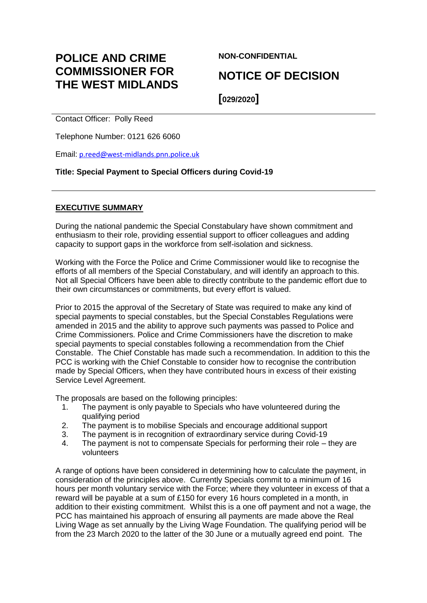# **POLICE AND CRIME COMMISSIONER FOR THE WEST MIDLANDS**

**NON-CONFIDENTIAL**

## **NOTICE OF DECISION**

**[029/2020]**

Contact Officer: Polly Reed

Telephone Number: 0121 626 6060

Email: [p.reed@west-midlands.pnn.police.uk](mailto:p.reed@west-midlands.pnn.police.uk)

## **Title: Special Payment to Special Officers during Covid-19**

## **EXECUTIVE SUMMARY**

During the national pandemic the Special Constabulary have shown commitment and enthusiasm to their role, providing essential support to officer colleagues and adding capacity to support gaps in the workforce from self-isolation and sickness.

Working with the Force the Police and Crime Commissioner would like to recognise the efforts of all members of the Special Constabulary, and will identify an approach to this. Not all Special Officers have been able to directly contribute to the pandemic effort due to their own circumstances or commitments, but every effort is valued.

Prior to 2015 the approval of the Secretary of State was required to make any kind of special payments to special constables, but the Special Constables Regulations were amended in 2015 and the ability to approve such payments was passed to Police and Crime Commissioners. Police and Crime Commissioners have the discretion to make special payments to special constables following a recommendation from the Chief Constable. The Chief Constable has made such a recommendation. In addition to this the PCC is working with the Chief Constable to consider how to recognise the contribution made by Special Officers, when they have contributed hours in excess of their existing Service Level Agreement.

The proposals are based on the following principles:

- 1. The payment is only payable to Specials who have volunteered during the qualifying period
- 2. The payment is to mobilise Specials and encourage additional support
- 3. The payment is in recognition of extraordinary service during Covid-19
- 4. The payment is not to compensate Specials for performing their role they are volunteers

A range of options have been considered in determining how to calculate the payment, in consideration of the principles above. Currently Specials commit to a minimum of 16 hours per month voluntary service with the Force; where they volunteer in excess of that a reward will be payable at a sum of £150 for every 16 hours completed in a month, in addition to their existing commitment. Whilst this is a one off payment and not a wage, the PCC has maintained his approach of ensuring all payments are made above the Real Living Wage as set annually by the Living Wage Foundation. The qualifying period will be from the 23 March 2020 to the latter of the 30 June or a mutually agreed end point. The